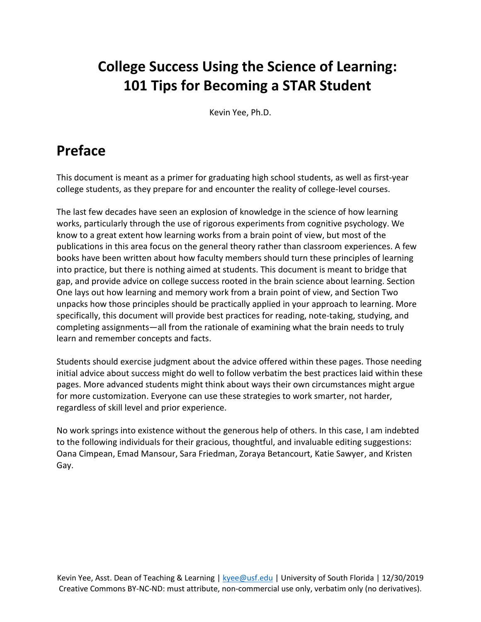# **College Success Using the Science of Learning: 101 Tips for Becoming a STAR Student**

Kevin Yee, Ph.D.

## **Preface**

This document is meant as a primer for graduating high school students, as well as first-year college students, as they prepare for and encounter the reality of college-level courses.

The last few decades have seen an explosion of knowledge in the science of how learning works, particularly through the use of rigorous experiments from cognitive psychology. We know to a great extent how learning works from a brain point of view, but most of the publications in this area focus on the general theory rather than classroom experiences. A few books have been written about how faculty members should turn these principles of learning into practice, but there is nothing aimed at students. This document is meant to bridge that gap, and provide advice on college success rooted in the brain science about learning. Section One lays out how learning and memory work from a brain point of view, and Section Two unpacks how those principles should be practically applied in your approach to learning. More specifically, this document will provide best practices for reading, note-taking, studying, and completing assignments—all from the rationale of examining what the brain needs to truly learn and remember concepts and facts.

Students should exercise judgment about the advice offered within these pages. Those needing initial advice about success might do well to follow verbatim the best practices laid within these pages. More advanced students might think about ways their own circumstances might argue for more customization. Everyone can use these strategies to work smarter, not harder, regardless of skill level and prior experience.

No work springs into existence without the generous help of others. In this case, I am indebted to the following individuals for their gracious, thoughtful, and invaluable editing suggestions: Oana Cimpean, Emad Mansour, Sara Friedman, Zoraya Betancourt, Katie Sawyer, and Kristen Gay.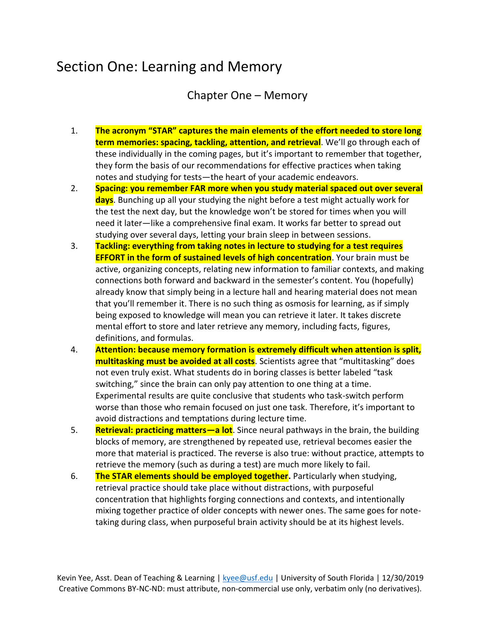## Section One: Learning and Memory

Chapter One – Memory

- 1. **The acronym "STAR" captures the main elements of the effort needed to store long term memories: spacing, tackling, attention, and retrieval**. We'll go through each of these individually in the coming pages, but it's important to remember that together, they form the basis of our recommendations for effective practices when taking notes and studying for tests—the heart of your academic endeavors.
- 2. **Spacing: you remember FAR more when you study material spaced out over several days**. Bunching up all your studying the night before a test might actually work for the test the next day, but the knowledge won't be stored for times when you will need it later—like a comprehensive final exam. It works far better to spread out studying over several days, letting your brain sleep in between sessions.
- 3. **Tackling: everything from taking notes in lecture to studying for a test requires EFFORT in the form of sustained levels of high concentration**. Your brain must be active, organizing concepts, relating new information to familiar contexts, and making connections both forward and backward in the semester's content. You (hopefully) already know that simply being in a lecture hall and hearing material does not mean that you'll remember it. There is no such thing as osmosis for learning, as if simply being exposed to knowledge will mean you can retrieve it later. It takes discrete mental effort to store and later retrieve any memory, including facts, figures, definitions, and formulas.
- 4. **Attention: because memory formation is extremely difficult when attention is split, multitasking must be avoided at all costs**. Scientists agree that "multitasking" does not even truly exist. What students do in boring classes is better labeled "task switching," since the brain can only pay attention to one thing at a time. Experimental results are quite conclusive that students who task-switch perform worse than those who remain focused on just one task. Therefore, it's important to avoid distractions and temptations during lecture time.
- 5. **Retrieval: practicing matters—a lot**. Since neural pathways in the brain, the building blocks of memory, are strengthened by repeated use, retrieval becomes easier the more that material is practiced. The reverse is also true: without practice, attempts to retrieve the memory (such as during a test) are much more likely to fail.
- 6. **The STAR elements should be employed together.** Particularly when studying, retrieval practice should take place without distractions, with purposeful concentration that highlights forging connections and contexts, and intentionally mixing together practice of older concepts with newer ones. The same goes for notetaking during class, when purposeful brain activity should be at its highest levels.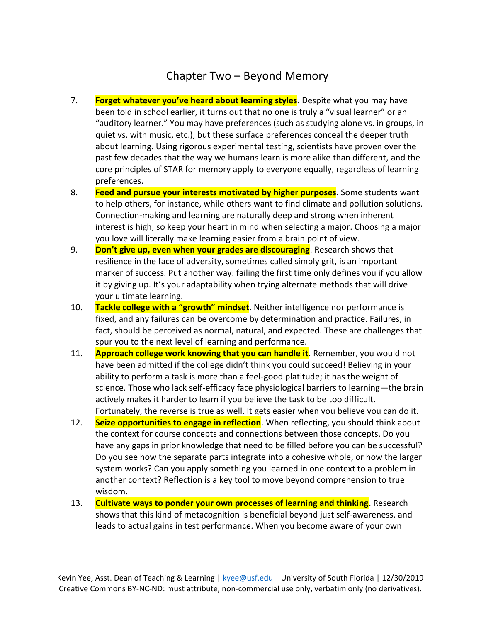### Chapter Two – Beyond Memory

- 7. **Forget whatever you've heard about learning styles**. Despite what you may have been told in school earlier, it turns out that no one is truly a "visual learner" or an "auditory learner." You may have preferences (such as studying alone vs. in groups, in quiet vs. with music, etc.), but these surface preferences conceal the deeper truth about learning. Using rigorous experimental testing, scientists have proven over the past few decades that the way we humans learn is more alike than different, and the core principles of STAR for memory apply to everyone equally, regardless of learning preferences.
- 8. **Feed and pursue your interests motivated by higher purposes**. Some students want to help others, for instance, while others want to find climate and pollution solutions. Connection-making and learning are naturally deep and strong when inherent interest is high, so keep your heart in mind when selecting a major. Choosing a major you love will literally make learning easier from a brain point of view.
- 9. **Don't give up, even when your grades are discouraging**. Research shows that resilience in the face of adversity, sometimes called simply grit, is an important marker of success. Put another way: failing the first time only defines you if you allow it by giving up. It's your adaptability when trying alternate methods that will drive your ultimate learning.
- 10. **Tackle college with a "growth" mindset**. Neither intelligence nor performance is fixed, and any failures can be overcome by determination and practice. Failures, in fact, should be perceived as normal, natural, and expected. These are challenges that spur you to the next level of learning and performance.
- 11. **Approach college work knowing that you can handle it**. Remember, you would not have been admitted if the college didn't think you could succeed! Believing in your ability to perform a task is more than a feel-good platitude; it has the weight of science. Those who lack self-efficacy face physiological barriers to learning—the brain actively makes it harder to learn if you believe the task to be too difficult. Fortunately, the reverse is true as well. It gets easier when you believe you can do it.
- 12. **Seize opportunities to engage in reflection**. When reflecting, you should think about the context for course concepts and connections between those concepts. Do you have any gaps in prior knowledge that need to be filled before you can be successful? Do you see how the separate parts integrate into a cohesive whole, or how the larger system works? Can you apply something you learned in one context to a problem in another context? Reflection is a key tool to move beyond comprehension to true wisdom.
- 13. **Cultivate ways to ponder your own processes of learning and thinking**. Research shows that this kind of metacognition is beneficial beyond just self-awareness, and leads to actual gains in test performance. When you become aware of your own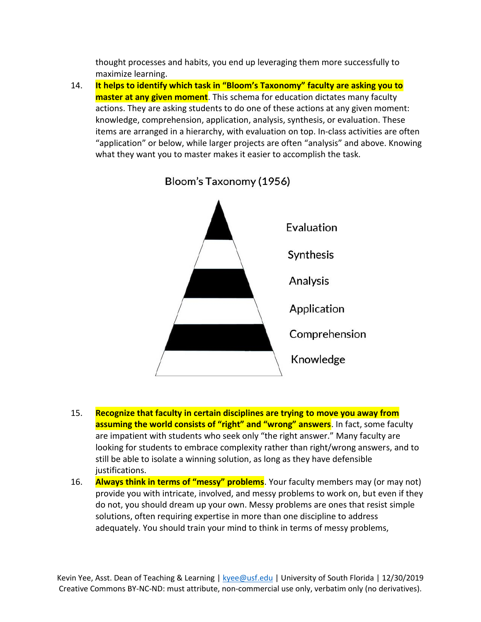thought processes and habits, you end up leveraging them more successfully to maximize learning.

14. **It helps to identify which task in "Bloom's Taxonomy" faculty are asking you to master at any given moment**. This schema for education dictates many faculty actions. They are asking students to do one of these actions at any given moment: knowledge, comprehension, application, analysis, synthesis, or evaluation. These items are arranged in a hierarchy, with evaluation on top. In-class activities are often "application" or below, while larger projects are often "analysis" and above. Knowing what they want you to master makes it easier to accomplish the task.



Bloom's Taxonomy (1956)

- 15. **Recognize that faculty in certain disciplines are trying to move you away from assuming the world consists of "right" and "wrong" answers**. In fact, some faculty are impatient with students who seek only "the right answer." Many faculty are looking for students to embrace complexity rather than right/wrong answers, and to still be able to isolate a winning solution, as long as they have defensible justifications.
- 16. **Always think in terms of "messy" problems**. Your faculty members may (or may not) provide you with intricate, involved, and messy problems to work on, but even if they do not, you should dream up your own. Messy problems are ones that resist simple solutions, often requiring expertise in more than one discipline to address adequately. You should train your mind to think in terms of messy problems,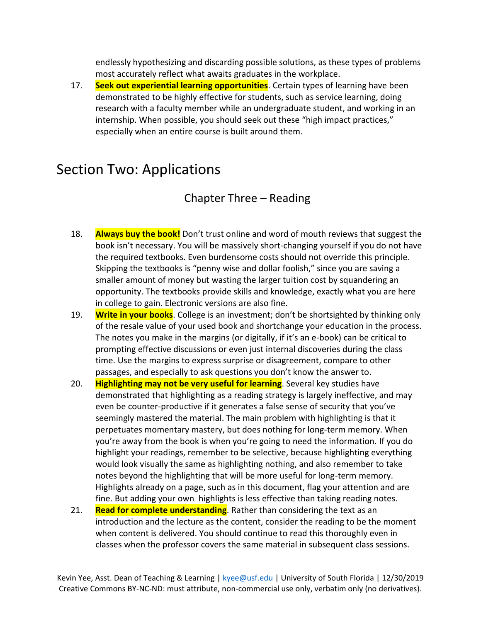endlessly hypothesizing and discarding possible solutions, as these types of problems most accurately reflect what awaits graduates in the workplace.

17. **Seek out experiential learning opportunities**. Certain types of learning have been demonstrated to be highly effective for students, such as service learning, doing research with a faculty member while an undergraduate student, and working in an internship. When possible, you should seek out these "high impact practices," especially when an entire course is built around them.

## Section Two: Applications

### Chapter Three – Reading

- 18. **Always buy the book!** Don't trust online and word of mouth reviews that suggest the book isn't necessary. You will be massively short-changing yourself if you do not have the required textbooks. Even burdensome costs should not override this principle. Skipping the textbooks is "penny wise and dollar foolish," since you are saving a smaller amount of money but wasting the larger tuition cost by squandering an opportunity. The textbooks provide skills and knowledge, exactly what you are here in college to gain. Electronic versions are also fine.
- 19. **Write in your books**. College is an investment; don't be shortsighted by thinking only of the resale value of your used book and shortchange your education in the process. The notes you make in the margins (or digitally, if it's an e-book) can be critical to prompting effective discussions or even just internal discoveries during the class time. Use the margins to express surprise or disagreement, compare to other passages, and especially to ask questions you don't know the answer to.
- 20. **Highlighting may not be very useful for learning**. Several key studies have demonstrated that highlighting as a reading strategy is largely ineffective, and may even be counter-productive if it generates a false sense of security that you've seemingly mastered the material. The main problem with highlighting is that it perpetuates momentary mastery, but does nothing for long-term memory. When you're away from the book is when you're going to need the information. If you do highlight your readings, remember to be selective, because highlighting everything would look visually the same as highlighting nothing, and also remember to take notes beyond the highlighting that will be more useful for long-term memory. Highlights already on a page, such as in this document, flag your attention and are fine. But adding your own highlights is less effective than taking reading notes.
- 21. **Read for complete understanding**. Rather than considering the text as an introduction and the lecture as the content, consider the reading to be the moment when content is delivered. You should continue to read this thoroughly even in classes when the professor covers the same material in subsequent class sessions.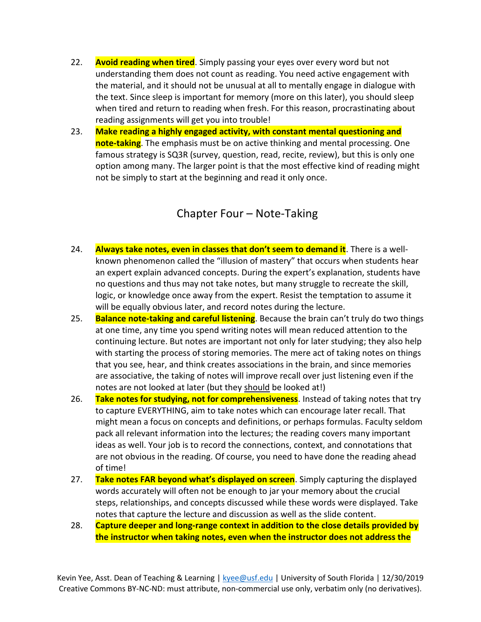- 22. **Avoid reading when tired**. Simply passing your eyes over every word but not understanding them does not count as reading. You need active engagement with the material, and it should not be unusual at all to mentally engage in dialogue with the text. Since sleep is important for memory (more on this later), you should sleep when tired and return to reading when fresh. For this reason, procrastinating about reading assignments will get you into trouble!
- 23. **Make reading a highly engaged activity, with constant mental questioning and note-taking**. The emphasis must be on active thinking and mental processing. One famous strategy is SQ3R (survey, question, read, recite, review), but this is only one option among many. The larger point is that the most effective kind of reading might not be simply to start at the beginning and read it only once.

#### Chapter Four – Note-Taking

- 24. **Always take notes, even in classes that don't seem to demand it**. There is a wellknown phenomenon called the "illusion of mastery" that occurs when students hear an expert explain advanced concepts. During the expert's explanation, students have no questions and thus may not take notes, but many struggle to recreate the skill, logic, or knowledge once away from the expert. Resist the temptation to assume it will be equally obvious later, and record notes during the lecture.
- 25. **Balance note-taking and careful listening**. Because the brain can't truly do two things at one time, any time you spend writing notes will mean reduced attention to the continuing lecture. But notes are important not only for later studying; they also help with starting the process of storing memories. The mere act of taking notes on things that you see, hear, and think creates associations in the brain, and since memories are associative, the taking of notes will improve recall over just listening even if the notes are not looked at later (but they should be looked at!)
- 26. **Take notes for studying, not for comprehensiveness**. Instead of taking notes that try to capture EVERYTHING, aim to take notes which can encourage later recall. That might mean a focus on concepts and definitions, or perhaps formulas. Faculty seldom pack all relevant information into the lectures; the reading covers many important ideas as well. Your job is to record the connections, context, and connotations that are not obvious in the reading. Of course, you need to have done the reading ahead of time!
- 27. **Take notes FAR beyond what's displayed on screen**. Simply capturing the displayed words accurately will often not be enough to jar your memory about the crucial steps, relationships, and concepts discussed while these words were displayed. Take notes that capture the lecture and discussion as well as the slide content.
- 28. **Capture deeper and long-range context in addition to the close details provided by the instructor when taking notes, even when the instructor does not address the**

Kevin Yee, Asst. Dean of Teaching & Learning [| kyee@usf.edu](mailto:kyee@usf.edu) | University of South Florida | 12/30/2019 Creative Commons BY-NC-ND: must attribute, non-commercial use only, verbatim only (no derivatives).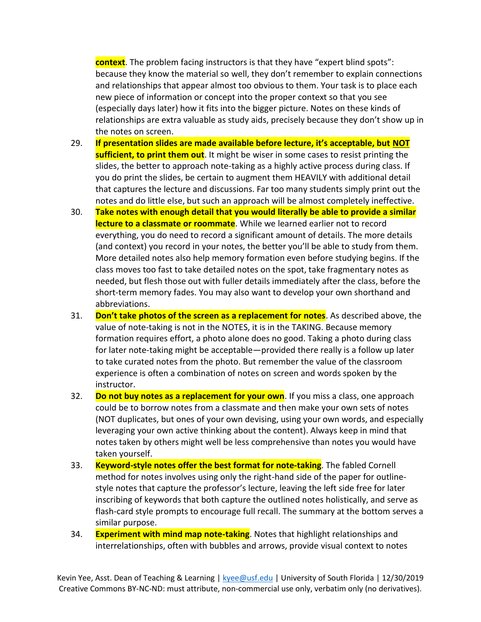**context**. The problem facing instructors is that they have "expert blind spots": because they know the material so well, they don't remember to explain connections and relationships that appear almost too obvious to them. Your task is to place each new piece of information or concept into the proper context so that you see (especially days later) how it fits into the bigger picture. Notes on these kinds of relationships are extra valuable as study aids, precisely because they don't show up in the notes on screen.

- 29. **If presentation slides are made available before lecture, it's acceptable, but NOT sufficient, to print them out**. It might be wiser in some cases to resist printing the slides, the better to approach note-taking as a highly active process during class. If you do print the slides, be certain to augment them HEAVILY with additional detail that captures the lecture and discussions. Far too many students simply print out the notes and do little else, but such an approach will be almost completely ineffective.
- 30. **Take notes with enough detail that you would literally be able to provide a similar lecture to a classmate or roommate**. While we learned earlier not to record everything, you do need to record a significant amount of details. The more details (and context) you record in your notes, the better you'll be able to study from them. More detailed notes also help memory formation even before studying begins. If the class moves too fast to take detailed notes on the spot, take fragmentary notes as needed, but flesh those out with fuller details immediately after the class, before the short-term memory fades. You may also want to develop your own shorthand and abbreviations.
- 31. **Don't take photos of the screen as a replacement for notes**. As described above, the value of note-taking is not in the NOTES, it is in the TAKING. Because memory formation requires effort, a photo alone does no good. Taking a photo during class for later note-taking might be acceptable—provided there really is a follow up later to take curated notes from the photo. But remember the value of the classroom experience is often a combination of notes on screen and words spoken by the instructor.
- 32. **Do not buy notes as a replacement for your own**. If you miss a class, one approach could be to borrow notes from a classmate and then make your own sets of notes (NOT duplicates, but ones of your own devising, using your own words, and especially leveraging your own active thinking about the content). Always keep in mind that notes taken by others might well be less comprehensive than notes you would have taken yourself.
- 33. **Keyword-style notes offer the best format for note-taking**. The fabled Cornell method for notes involves using only the right-hand side of the paper for outlinestyle notes that capture the professor's lecture, leaving the left side free for later inscribing of keywords that both capture the outlined notes holistically, and serve as flash-card style prompts to encourage full recall. The summary at the bottom serves a similar purpose.
- 34. **Experiment with mind map note-taking**. Notes that highlight relationships and interrelationships, often with bubbles and arrows, provide visual context to notes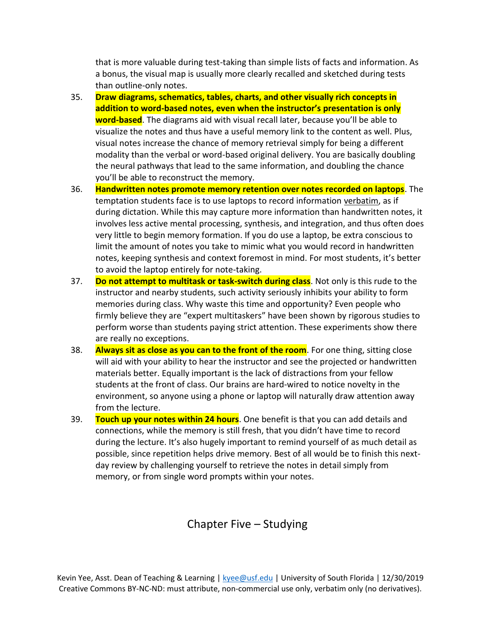that is more valuable during test-taking than simple lists of facts and information. As a bonus, the visual map is usually more clearly recalled and sketched during tests than outline-only notes.

- 35. **Draw diagrams, schematics, tables, charts, and other visually rich concepts in addition to word-based notes, even when the instructor's presentation is only word-based**. The diagrams aid with visual recall later, because you'll be able to visualize the notes and thus have a useful memory link to the content as well. Plus, visual notes increase the chance of memory retrieval simply for being a different modality than the verbal or word-based original delivery. You are basically doubling the neural pathways that lead to the same information, and doubling the chance you'll be able to reconstruct the memory.
- 36. **Handwritten notes promote memory retention over notes recorded on laptops**. The temptation students face is to use laptops to record information verbatim, as if during dictation. While this may capture more information than handwritten notes, it involves less active mental processing, synthesis, and integration, and thus often does very little to begin memory formation. If you do use a laptop, be extra conscious to limit the amount of notes you take to mimic what you would record in handwritten notes, keeping synthesis and context foremost in mind. For most students, it's better to avoid the laptop entirely for note-taking.
- 37. **Do not attempt to multitask or task-switch during class**. Not only is this rude to the instructor and nearby students, such activity seriously inhibits your ability to form memories during class. Why waste this time and opportunity? Even people who firmly believe they are "expert multitaskers" have been shown by rigorous studies to perform worse than students paying strict attention. These experiments show there are really no exceptions.
- 38. **Always sit as close as you can to the front of the room**. For one thing, sitting close will aid with your ability to hear the instructor and see the projected or handwritten materials better. Equally important is the lack of distractions from your fellow students at the front of class. Our brains are hard-wired to notice novelty in the environment, so anyone using a phone or laptop will naturally draw attention away from the lecture.
- 39. **Touch up your notes within 24 hours**. One benefit is that you can add details and connections, while the memory is still fresh, that you didn't have time to record during the lecture. It's also hugely important to remind yourself of as much detail as possible, since repetition helps drive memory. Best of all would be to finish this nextday review by challenging yourself to retrieve the notes in detail simply from memory, or from single word prompts within your notes.

#### Chapter Five – Studying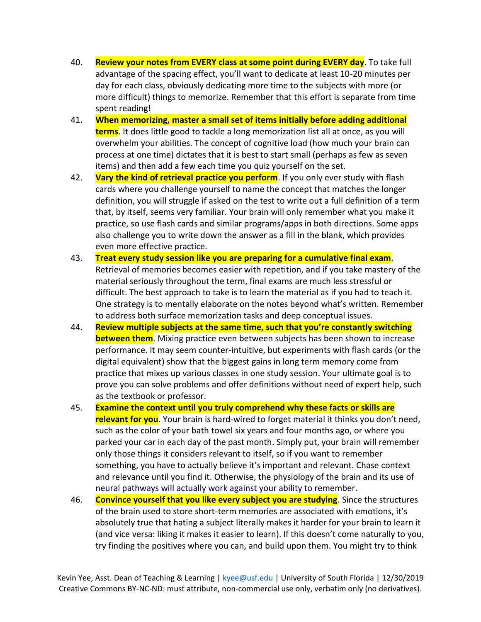- 40. **Review your notes from EVERY class at some point during EVERY day**. To take full advantage of the spacing effect, you'll want to dedicate at least 10-20 minutes per day for each class, obviously dedicating more time to the subjects with more (or more difficult) things to memorize. Remember that this effort is separate from time spent reading!
- 41. **When memorizing, master a small set of items initially before adding additional terms**. It does little good to tackle a long memorization list all at once, as you will overwhelm your abilities. The concept of cognitive load (how much your brain can process at one time) dictates that it is best to start small (perhaps as few as seven items) and then add a few each time you quiz yourself on the set.
- 42. **Vary the kind of retrieval practice you perform**. If you only ever study with flash cards where you challenge yourself to name the concept that matches the longer definition, you will struggle if asked on the test to write out a full definition of a term that, by itself, seems very familiar. Your brain will only remember what you make it practice, so use flash cards and similar programs/apps in both directions. Some apps also challenge you to write down the answer as a fill in the blank, which provides even more effective practice.
- 43. **Treat every study session like you are preparing for a cumulative final exam**. Retrieval of memories becomes easier with repetition, and if you take mastery of the material seriously throughout the term, final exams are much less stressful or difficult. The best approach to take is to learn the material as if you had to teach it. One strategy is to mentally elaborate on the notes beyond what's written. Remember to address both surface memorization tasks and deep conceptual issues.
- 44. **Review multiple subjects at the same time, such that you're constantly switching between them**. Mixing practice even between subjects has been shown to increase performance. It may seem counter-intuitive, but experiments with flash cards (or the digital equivalent) show that the biggest gains in long term memory come from practice that mixes up various classes in one study session. Your ultimate goal is to prove you can solve problems and offer definitions without need of expert help, such as the textbook or professor.
- 45. **Examine the context until you truly comprehend why these facts or skills are relevant for you**. Your brain is hard-wired to forget material it thinks you don't need, such as the color of your bath towel six years and four months ago, or where you parked your car in each day of the past month. Simply put, your brain will remember only those things it considers relevant to itself, so if you want to remember something, you have to actually believe it's important and relevant. Chase context and relevance until you find it. Otherwise, the physiology of the brain and its use of neural pathways will actually work against your ability to remember.
- 46. **Convince yourself that you like every subject you are studying**. Since the structures of the brain used to store short-term memories are associated with emotions, it's absolutely true that hating a subject literally makes it harder for your brain to learn it (and vice versa: liking it makes it easier to learn). If this doesn't come naturally to you, try finding the positives where you can, and build upon them. You might try to think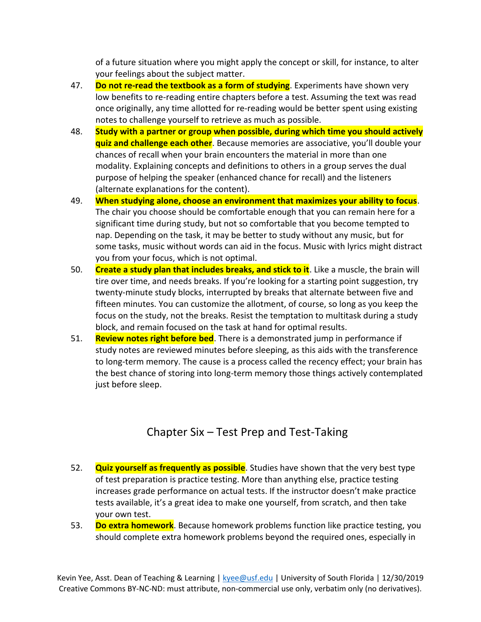of a future situation where you might apply the concept or skill, for instance, to alter your feelings about the subject matter.

- 47. **Do not re-read the textbook as a form of studying**. Experiments have shown very low benefits to re-reading entire chapters before a test. Assuming the text was read once originally, any time allotted for re-reading would be better spent using existing notes to challenge yourself to retrieve as much as possible.
- 48. **Study with a partner or group when possible, during which time you should actively quiz and challenge each other**. Because memories are associative, you'll double your chances of recall when your brain encounters the material in more than one modality. Explaining concepts and definitions to others in a group serves the dual purpose of helping the speaker (enhanced chance for recall) and the listeners (alternate explanations for the content).
- 49. **When studying alone, choose an environment that maximizes your ability to focus**. The chair you choose should be comfortable enough that you can remain here for a significant time during study, but not so comfortable that you become tempted to nap. Depending on the task, it may be better to study without any music, but for some tasks, music without words can aid in the focus. Music with lyrics might distract you from your focus, which is not optimal.
- 50. **Create a study plan that includes breaks, and stick to it**. Like a muscle, the brain will tire over time, and needs breaks. If you're looking for a starting point suggestion, try twenty-minute study blocks, interrupted by breaks that alternate between five and fifteen minutes. You can customize the allotment, of course, so long as you keep the focus on the study, not the breaks. Resist the temptation to multitask during a study block, and remain focused on the task at hand for optimal results.
- 51. **Review notes right before bed**. There is a demonstrated jump in performance if study notes are reviewed minutes before sleeping, as this aids with the transference to long-term memory. The cause is a process called the recency effect; your brain has the best chance of storing into long-term memory those things actively contemplated just before sleep.

### Chapter Six – Test Prep and Test-Taking

- 52. **Quiz yourself as frequently as possible**. Studies have shown that the very best type of test preparation is practice testing. More than anything else, practice testing increases grade performance on actual tests. If the instructor doesn't make practice tests available, it's a great idea to make one yourself, from scratch, and then take your own test.
- 53. **Do extra homework**. Because homework problems function like practice testing, you should complete extra homework problems beyond the required ones, especially in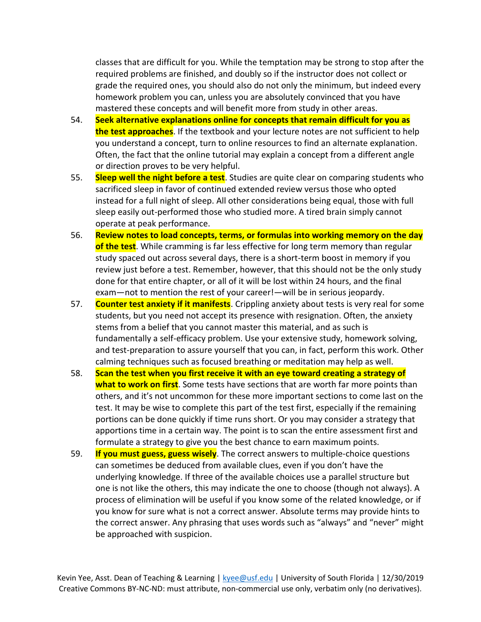classes that are difficult for you. While the temptation may be strong to stop after the required problems are finished, and doubly so if the instructor does not collect or grade the required ones, you should also do not only the minimum, but indeed every homework problem you can, unless you are absolutely convinced that you have mastered these concepts and will benefit more from study in other areas.

- 54. **Seek alternative explanations online for concepts that remain difficult for you as the test approaches**. If the textbook and your lecture notes are not sufficient to help you understand a concept, turn to online resources to find an alternate explanation. Often, the fact that the online tutorial may explain a concept from a different angle or direction proves to be very helpful.
- 55. **Sleep well the night before a test**. Studies are quite clear on comparing students who sacrificed sleep in favor of continued extended review versus those who opted instead for a full night of sleep. All other considerations being equal, those with full sleep easily out-performed those who studied more. A tired brain simply cannot operate at peak performance.
- 56. **Review notes to load concepts, terms, or formulas into working memory on the day of the test**. While cramming is far less effective for long term memory than regular study spaced out across several days, there is a short-term boost in memory if you review just before a test. Remember, however, that this should not be the only study done for that entire chapter, or all of it will be lost within 24 hours, and the final exam—not to mention the rest of your career!—will be in serious jeopardy.
- 57. **Counter test anxiety if it manifests**. Crippling anxiety about tests is very real for some students, but you need not accept its presence with resignation. Often, the anxiety stems from a belief that you cannot master this material, and as such is fundamentally a self-efficacy problem. Use your extensive study, homework solving, and test-preparation to assure yourself that you can, in fact, perform this work. Other calming techniques such as focused breathing or meditation may help as well.
- 58. **Scan the test when you first receive it with an eye toward creating a strategy of what to work on first**. Some tests have sections that are worth far more points than others, and it's not uncommon for these more important sections to come last on the test. It may be wise to complete this part of the test first, especially if the remaining portions can be done quickly if time runs short. Or you may consider a strategy that apportions time in a certain way. The point is to scan the entire assessment first and formulate a strategy to give you the best chance to earn maximum points.
- 59. **If you must guess, guess wisely**. The correct answers to multiple-choice questions can sometimes be deduced from available clues, even if you don't have the underlying knowledge. If three of the available choices use a parallel structure but one is not like the others, this may indicate the one to choose (though not always). A process of elimination will be useful if you know some of the related knowledge, or if you know for sure what is not a correct answer. Absolute terms may provide hints to the correct answer. Any phrasing that uses words such as "always" and "never" might be approached with suspicion.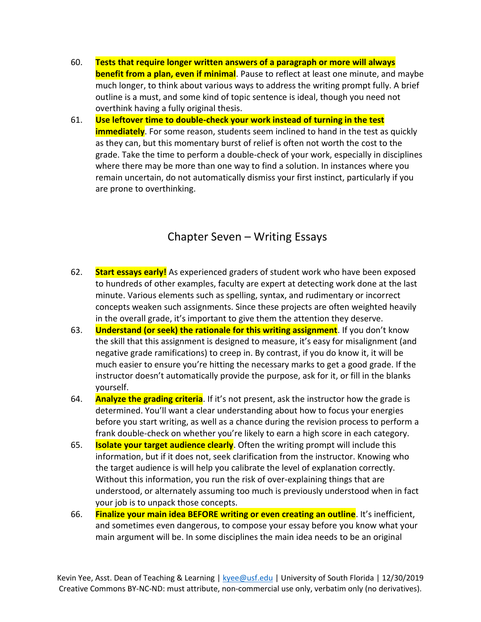- 60. **Tests that require longer written answers of a paragraph or more will always benefit from a plan, even if minimal**. Pause to reflect at least one minute, and maybe much longer, to think about various ways to address the writing prompt fully. A brief outline is a must, and some kind of topic sentence is ideal, though you need not overthink having a fully original thesis.
- 61. **Use leftover time to double-check your work instead of turning in the test immediately**. For some reason, students seem inclined to hand in the test as quickly as they can, but this momentary burst of relief is often not worth the cost to the grade. Take the time to perform a double-check of your work, especially in disciplines where there may be more than one way to find a solution. In instances where you remain uncertain, do not automatically dismiss your first instinct, particularly if you are prone to overthinking.

#### Chapter Seven – Writing Essays

- 62. **Start essays early!** As experienced graders of student work who have been exposed to hundreds of other examples, faculty are expert at detecting work done at the last minute. Various elements such as spelling, syntax, and rudimentary or incorrect concepts weaken such assignments. Since these projects are often weighted heavily in the overall grade, it's important to give them the attention they deserve.
- 63. **Understand (or seek) the rationale for this writing assignment**. If you don't know the skill that this assignment is designed to measure, it's easy for misalignment (and negative grade ramifications) to creep in. By contrast, if you do know it, it will be much easier to ensure you're hitting the necessary marks to get a good grade. If the instructor doesn't automatically provide the purpose, ask for it, or fill in the blanks yourself.
- 64. **Analyze the grading criteria**. If it's not present, ask the instructor how the grade is determined. You'll want a clear understanding about how to focus your energies before you start writing, as well as a chance during the revision process to perform a frank double-check on whether you're likely to earn a high score in each category.
- 65. **Isolate your target audience clearly**. Often the writing prompt will include this information, but if it does not, seek clarification from the instructor. Knowing who the target audience is will help you calibrate the level of explanation correctly. Without this information, you run the risk of over-explaining things that are understood, or alternately assuming too much is previously understood when in fact your job is to unpack those concepts.
- 66. **Finalize your main idea BEFORE writing or even creating an outline**. It's inefficient, and sometimes even dangerous, to compose your essay before you know what your main argument will be. In some disciplines the main idea needs to be an original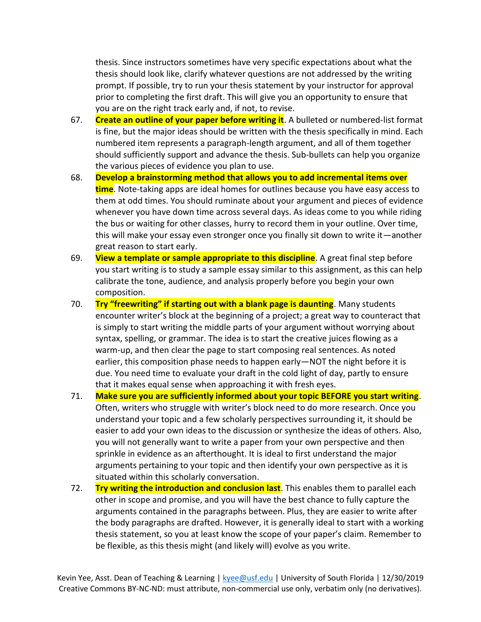thesis. Since instructors sometimes have very specific expectations about what the thesis should look like, clarify whatever questions are not addressed by the writing prompt. If possible, try to run your thesis statement by your instructor for approval prior to completing the first draft. This will give you an opportunity to ensure that you are on the right track early and, if not, to revise.

- 67. **Create an outline of your paper before writing it**. A bulleted or numbered-list format is fine, but the major ideas should be written with the thesis specifically in mind. Each numbered item represents a paragraph-length argument, and all of them together should sufficiently support and advance the thesis. Sub-bullets can help you organize the various pieces of evidence you plan to use.
- 68. **Develop a brainstorming method that allows you to add incremental items over time**. Note-taking apps are ideal homes for outlines because you have easy access to them at odd times. You should ruminate about your argument and pieces of evidence whenever you have down time across several days. As ideas come to you while riding the bus or waiting for other classes, hurry to record them in your outline. Over time, this will make your essay even stronger once you finally sit down to write it—another great reason to start early.
- 69. **View a template or sample appropriate to this discipline**. A great final step before you start writing is to study a sample essay similar to this assignment, as this can help calibrate the tone, audience, and analysis properly before you begin your own composition.
- 70. **Try "freewriting" if starting out with a blank page is daunting**. Many students encounter writer's block at the beginning of a project; a great way to counteract that is simply to start writing the middle parts of your argument without worrying about syntax, spelling, or grammar. The idea is to start the creative juices flowing as a warm-up, and then clear the page to start composing real sentences. As noted earlier, this composition phase needs to happen early—NOT the night before it is due. You need time to evaluate your draft in the cold light of day, partly to ensure that it makes equal sense when approaching it with fresh eyes.
- 71. **Make sure you are sufficiently informed about your topic BEFORE you start writing**. Often, writers who struggle with writer's block need to do more research. Once you understand your topic and a few scholarly perspectives surrounding it, it should be easier to add your own ideas to the discussion or synthesize the ideas of others. Also, you will not generally want to write a paper from your own perspective and then sprinkle in evidence as an afterthought. It is ideal to first understand the major arguments pertaining to your topic and then identify your own perspective as it is situated within this scholarly conversation.
- 72. **Try writing the introduction and conclusion last**. This enables them to parallel each other in scope and promise, and you will have the best chance to fully capture the arguments contained in the paragraphs between. Plus, they are easier to write after the body paragraphs are drafted. However, it is generally ideal to start with a working thesis statement, so you at least know the scope of your paper's claim. Remember to be flexible, as this thesis might (and likely will) evolve as you write.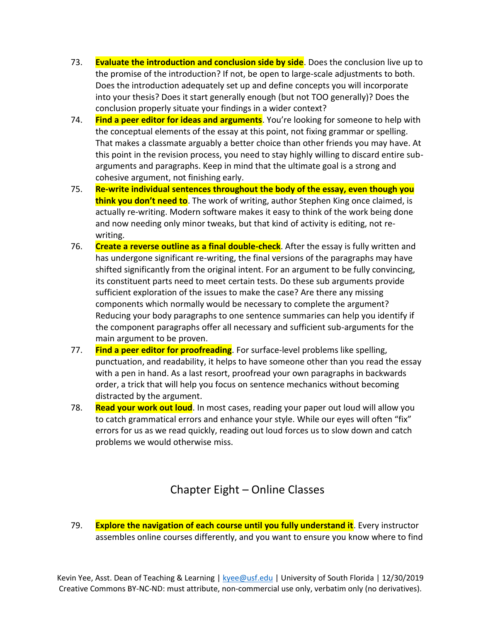- 73. **Evaluate the introduction and conclusion side by side**. Does the conclusion live up to the promise of the introduction? If not, be open to large-scale adjustments to both. Does the introduction adequately set up and define concepts you will incorporate into your thesis? Does it start generally enough (but not TOO generally)? Does the conclusion properly situate your findings in a wider context?
- 74. **Find a peer editor for ideas and arguments**. You're looking for someone to help with the conceptual elements of the essay at this point, not fixing grammar or spelling. That makes a classmate arguably a better choice than other friends you may have. At this point in the revision process, you need to stay highly willing to discard entire subarguments and paragraphs. Keep in mind that the ultimate goal is a strong and cohesive argument, not finishing early.
- 75. **Re-write individual sentences throughout the body of the essay, even though you think you don't need to**. The work of writing, author Stephen King once claimed, is actually re-writing. Modern software makes it easy to think of the work being done and now needing only minor tweaks, but that kind of activity is editing, not rewriting.
- 76. **Create a reverse outline as a final double-check**. After the essay is fully written and has undergone significant re-writing, the final versions of the paragraphs may have shifted significantly from the original intent. For an argument to be fully convincing, its constituent parts need to meet certain tests. Do these sub arguments provide sufficient exploration of the issues to make the case? Are there any missing components which normally would be necessary to complete the argument? Reducing your body paragraphs to one sentence summaries can help you identify if the component paragraphs offer all necessary and sufficient sub-arguments for the main argument to be proven.
- 77. **Find a peer editor for proofreading**. For surface-level problems like spelling, punctuation, and readability, it helps to have someone other than you read the essay with a pen in hand. As a last resort, proofread your own paragraphs in backwards order, a trick that will help you focus on sentence mechanics without becoming distracted by the argument.
- 78. **Read your work out loud**. In most cases, reading your paper out loud will allow you to catch grammatical errors and enhance your style. While our eyes will often "fix" errors for us as we read quickly, reading out loud forces us to slow down and catch problems we would otherwise miss.

### Chapter Eight – Online Classes

79. **Explore the navigation of each course until you fully understand it**. Every instructor assembles online courses differently, and you want to ensure you know where to find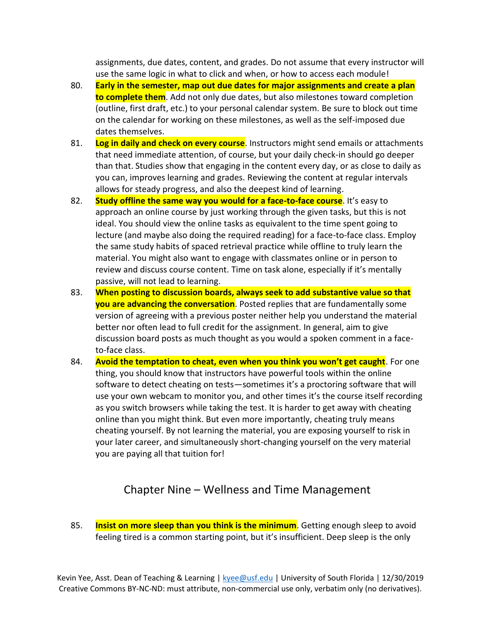assignments, due dates, content, and grades. Do not assume that every instructor will use the same logic in what to click and when, or how to access each module!

- 80. **Early in the semester, map out due dates for major assignments and create a plan to complete them**. Add not only due dates, but also milestones toward completion (outline, first draft, etc.) to your personal calendar system. Be sure to block out time on the calendar for working on these milestones, as well as the self-imposed due dates themselves.
- 81. **Log in daily and check on every course**. Instructors might send emails or attachments that need immediate attention, of course, but your daily check-in should go deeper than that. Studies show that engaging in the content every day, or as close to daily as you can, improves learning and grades. Reviewing the content at regular intervals allows for steady progress, and also the deepest kind of learning.
- 82. **Study offline the same way you would for a face-to-face course**. It's easy to approach an online course by just working through the given tasks, but this is not ideal. You should view the online tasks as equivalent to the time spent going to lecture (and maybe also doing the required reading) for a face-to-face class. Employ the same study habits of spaced retrieval practice while offline to truly learn the material. You might also want to engage with classmates online or in person to review and discuss course content. Time on task alone, especially if it's mentally passive, will not lead to learning.
- 83. **When posting to discussion boards, always seek to add substantive value so that you are advancing the conversation**. Posted replies that are fundamentally some version of agreeing with a previous poster neither help you understand the material better nor often lead to full credit for the assignment. In general, aim to give discussion board posts as much thought as you would a spoken comment in a faceto-face class.
- 84. **Avoid the temptation to cheat, even when you think you won't get caught**. For one thing, you should know that instructors have powerful tools within the online software to detect cheating on tests—sometimes it's a proctoring software that will use your own webcam to monitor you, and other times it's the course itself recording as you switch browsers while taking the test. It is harder to get away with cheating online than you might think. But even more importantly, cheating truly means cheating yourself. By not learning the material, you are exposing yourself to risk in your later career, and simultaneously short-changing yourself on the very material you are paying all that tuition for!

## Chapter Nine – Wellness and Time Management

85. **Insist on more sleep than you think is the minimum**. Getting enough sleep to avoid feeling tired is a common starting point, but it's insufficient. Deep sleep is the only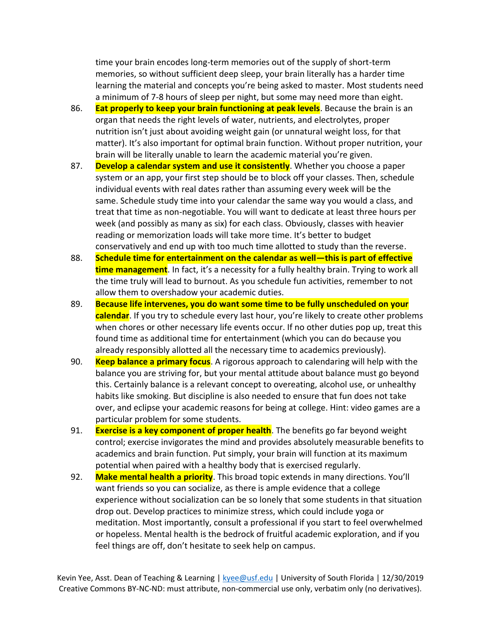time your brain encodes long-term memories out of the supply of short-term memories, so without sufficient deep sleep, your brain literally has a harder time learning the material and concepts you're being asked to master. Most students need a minimum of 7-8 hours of sleep per night, but some may need more than eight.

- 86. **Eat properly to keep your brain functioning at peak levels**. Because the brain is an organ that needs the right levels of water, nutrients, and electrolytes, proper nutrition isn't just about avoiding weight gain (or unnatural weight loss, for that matter). It's also important for optimal brain function. Without proper nutrition, your brain will be literally unable to learn the academic material you're given.
- 87. **Develop a calendar system and use it consistently**. Whether you choose a paper system or an app, your first step should be to block off your classes. Then, schedule individual events with real dates rather than assuming every week will be the same. Schedule study time into your calendar the same way you would a class, and treat that time as non-negotiable. You will want to dedicate at least three hours per week (and possibly as many as six) for each class. Obviously, classes with heavier reading or memorization loads will take more time. It's better to budget conservatively and end up with too much time allotted to study than the reverse.
- 88. **Schedule time for entertainment on the calendar as well—this is part of effective time management**. In fact, it's a necessity for a fully healthy brain. Trying to work all the time truly will lead to burnout. As you schedule fun activities, remember to not allow them to overshadow your academic duties.
- 89. **Because life intervenes, you do want some time to be fully unscheduled on your calendar**. If you try to schedule every last hour, you're likely to create other problems when chores or other necessary life events occur. If no other duties pop up, treat this found time as additional time for entertainment (which you can do because you already responsibly allotted all the necessary time to academics previously).
- 90. **Keep balance a primary focus**. A rigorous approach to calendaring will help with the balance you are striving for, but your mental attitude about balance must go beyond this. Certainly balance is a relevant concept to overeating, alcohol use, or unhealthy habits like smoking. But discipline is also needed to ensure that fun does not take over, and eclipse your academic reasons for being at college. Hint: video games are a particular problem for some students.
- 91. **Exercise is a key component of proper health**. The benefits go far beyond weight control; exercise invigorates the mind and provides absolutely measurable benefits to academics and brain function. Put simply, your brain will function at its maximum potential when paired with a healthy body that is exercised regularly.
- 92. **Make mental health a priority**. This broad topic extends in many directions. You'll want friends so you can socialize, as there is ample evidence that a college experience without socialization can be so lonely that some students in that situation drop out. Develop practices to minimize stress, which could include yoga or meditation. Most importantly, consult a professional if you start to feel overwhelmed or hopeless. Mental health is the bedrock of fruitful academic exploration, and if you feel things are off, don't hesitate to seek help on campus.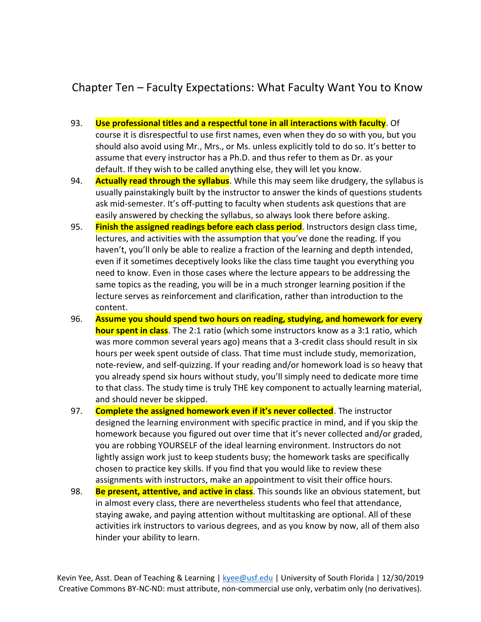## Chapter Ten – Faculty Expectations: What Faculty Want You to Know

- 93. **Use professional titles and a respectful tone in all interactions with faculty**. Of course it is disrespectful to use first names, even when they do so with you, but you should also avoid using Mr., Mrs., or Ms. unless explicitly told to do so. It's better to assume that every instructor has a Ph.D. and thus refer to them as Dr. as your default. If they wish to be called anything else, they will let you know.
- 94. **Actually read through the syllabus**. While this may seem like drudgery, the syllabus is usually painstakingly built by the instructor to answer the kinds of questions students ask mid-semester. It's off-putting to faculty when students ask questions that are easily answered by checking the syllabus, so always look there before asking.
- 95. **Finish the assigned readings before each class period**. Instructors design class time, lectures, and activities with the assumption that you've done the reading. If you haven't, you'll only be able to realize a fraction of the learning and depth intended, even if it sometimes deceptively looks like the class time taught you everything you need to know. Even in those cases where the lecture appears to be addressing the same topics as the reading, you will be in a much stronger learning position if the lecture serves as reinforcement and clarification, rather than introduction to the content.
- 96. **Assume you should spend two hours on reading, studying, and homework for every hour spent in class**. The 2:1 ratio (which some instructors know as a 3:1 ratio, which was more common several years ago) means that a 3-credit class should result in six hours per week spent outside of class. That time must include study, memorization, note-review, and self-quizzing. If your reading and/or homework load is so heavy that you already spend six hours without study, you'll simply need to dedicate more time to that class. The study time is truly THE key component to actually learning material, and should never be skipped.
- 97. **Complete the assigned homework even if it's never collected**. The instructor designed the learning environment with specific practice in mind, and if you skip the homework because you figured out over time that it's never collected and/or graded, you are robbing YOURSELF of the ideal learning environment. Instructors do not lightly assign work just to keep students busy; the homework tasks are specifically chosen to practice key skills. If you find that you would like to review these assignments with instructors, make an appointment to visit their office hours.
- 98. **Be present, attentive, and active in class**. This sounds like an obvious statement, but in almost every class, there are nevertheless students who feel that attendance, staying awake, and paying attention without multitasking are optional. All of these activities irk instructors to various degrees, and as you know by now, all of them also hinder your ability to learn.